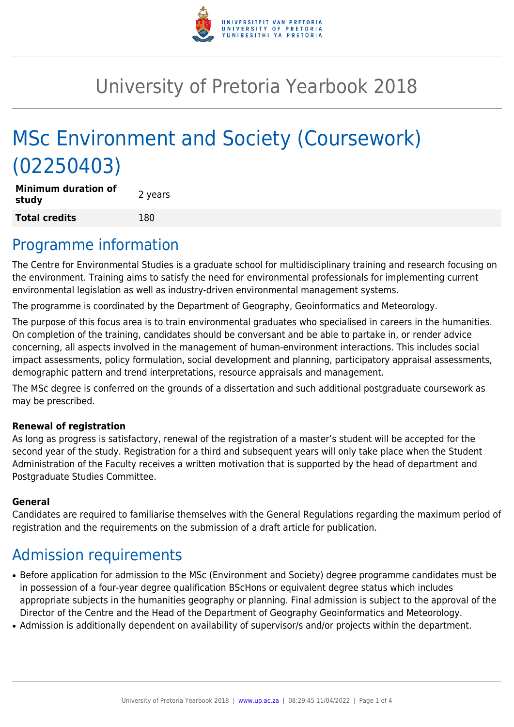

# University of Pretoria Yearbook 2018

# MSc Environment and Society (Coursework) (02250403)

**Minimum duration of study and all study 2** years **Total credits** 180

### Programme information

The Centre for Environmental Studies is a graduate school for multidisciplinary training and research focusing on the environment. Training aims to satisfy the need for environmental professionals for implementing current environmental legislation as well as industry-driven environmental management systems.

The programme is coordinated by the Department of Geography, Geoinformatics and Meteorology.

The purpose of this focus area is to train environmental graduates who specialised in careers in the humanities. On completion of the training, candidates should be conversant and be able to partake in, or render advice concerning, all aspects involved in the management of human-environment interactions. This includes social impact assessments, policy formulation, social development and planning, participatory appraisal assessments, demographic pattern and trend interpretations, resource appraisals and management.

The MSc degree is conferred on the grounds of a dissertation and such additional postgraduate coursework as may be prescribed.

#### **Renewal of registration**

As long as progress is satisfactory, renewal of the registration of a master's student will be accepted for the second year of the study. Registration for a third and subsequent years will only take place when the Student Administration of the Faculty receives a written motivation that is supported by the head of department and Postgraduate Studies Committee.

#### **General**

Candidates are required to familiarise themselves with the General Regulations regarding the maximum period of registration and the requirements on the submission of a draft article for publication.

### Admission requirements

- Before application for admission to the MSc (Environment and Society) degree programme candidates must be in possession of a four-year degree qualification BScHons or equivalent degree status which includes appropriate subjects in the humanities geography or planning. Final admission is subject to the approval of the Director of the Centre and the Head of the Department of Geography Geoinformatics and Meteorology.
- Admission is additionally dependent on availability of supervisor/s and/or projects within the department.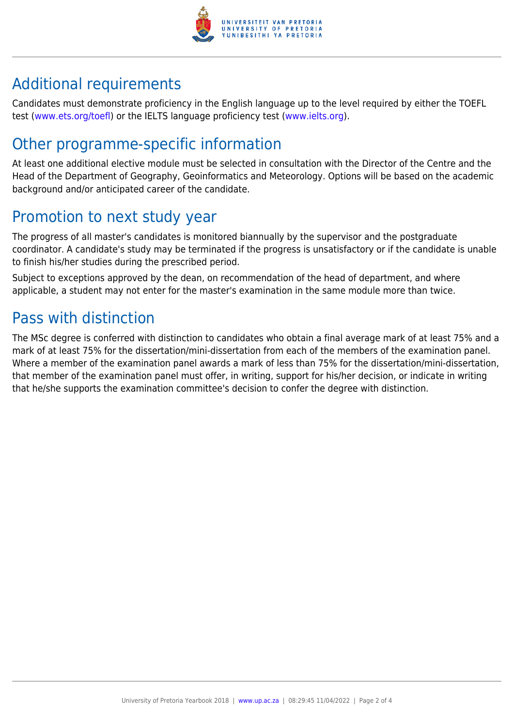

## Additional requirements

Candidates must demonstrate proficiency in the English language up to the level required by either the TOEFL test [\(www.ets.org/toefl\)](http://www.ets.org/toefl) or the IELTS language proficiency test ([www.ielts.org](http://www.ielts.org)).

## Other programme-specific information

At least one additional elective module must be selected in consultation with the Director of the Centre and the Head of the Department of Geography, Geoinformatics and Meteorology. Options will be based on the academic background and/or anticipated career of the candidate.

## Promotion to next study year

The progress of all master's candidates is monitored biannually by the supervisor and the postgraduate coordinator. A candidate's study may be terminated if the progress is unsatisfactory or if the candidate is unable to finish his/her studies during the prescribed period.

Subject to exceptions approved by the dean, on recommendation of the head of department, and where applicable, a student may not enter for the master's examination in the same module more than twice.

## Pass with distinction

The MSc degree is conferred with distinction to candidates who obtain a final average mark of at least 75% and a mark of at least 75% for the dissertation/mini-dissertation from each of the members of the examination panel. Where a member of the examination panel awards a mark of less than 75% for the dissertation/mini-dissertation, that member of the examination panel must offer, in writing, support for his/her decision, or indicate in writing that he/she supports the examination committee's decision to confer the degree with distinction.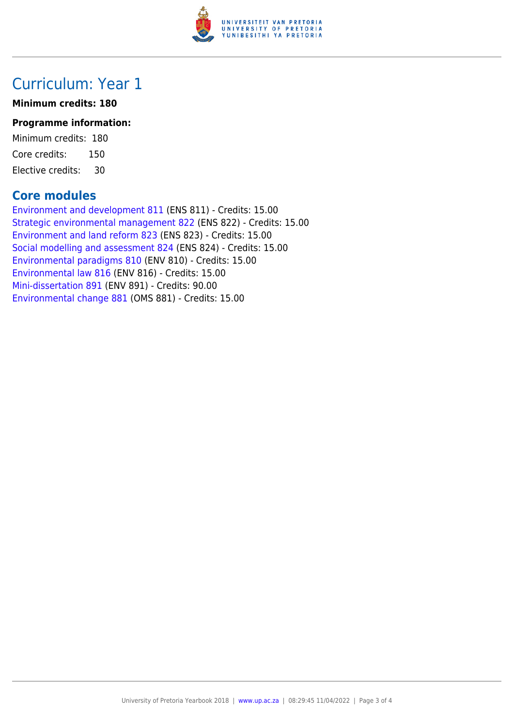

### Curriculum: Year 1

#### **Minimum credits: 180**

#### **Programme information:**

Minimum credits: 180 Core credits: 150 Elective credits: 30

#### **Core modules**

[Environment and development 811](https://www.up.ac.za/yearbooks/2018/modules/view/ENS 811) (ENS 811) - Credits: 15.00 [Strategic environmental management 822](https://www.up.ac.za/yearbooks/2018/modules/view/ENS 822) (ENS 822) - Credits: 15.00 [Environment and land reform 823](https://www.up.ac.za/yearbooks/2018/modules/view/ENS 823) (ENS 823) - Credits: 15.00 [Social modelling and assessment 824](https://www.up.ac.za/yearbooks/2018/modules/view/ENS 824) (ENS 824) - Credits: 15.00 [Environmental paradigms 810](https://www.up.ac.za/yearbooks/2018/modules/view/ENV 810) (ENV 810) - Credits: 15.00 [Environmental law 816](https://www.up.ac.za/yearbooks/2018/modules/view/ENV 816) (ENV 816) - Credits: 15.00 [Mini-dissertation 891](https://www.up.ac.za/yearbooks/2018/modules/view/ENV 891) (ENV 891) - Credits: 90.00 [Environmental change 881](https://www.up.ac.za/yearbooks/2018/modules/view/OMS 881) (OMS 881) - Credits: 15.00